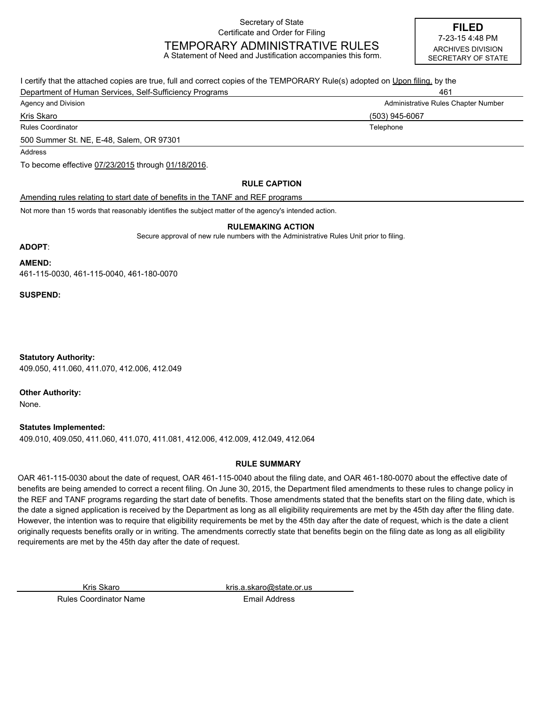Secretary of State Certificate and Order for Filing

# TEMPORARY ADMINISTRATIVE RULES

A Statement of Need and Justification accompanies this form.

**FILED** ARCHIVES DIVISION SECRETARY OF STATE 7-23-15 4:48 PM

I certify that the attached copies are true, full and correct copies of the TEMPORARY Rule(s) adopted on Upon filing. by the Department of Human Services, Self-Sufficiency Programs **1998** and 1999 and 1999 and 1999 and 1999 and 1999 and 199 Agency and Division **Administrative Rules Chapter Number** Administrative Rules Chapter Number Rules Coordinator **Telephone Telephone Telephone Telephone Telephone Telephone** Kris Skaro (503) 945-6067 500 Summer St. NE, E-48, Salem, OR 97301 Amending rules relating to start date of benefits in the TANF and REF programs Not more than 15 words that reasonably identifies the subject matter of the agency's intended action. **RULE CAPTION** To become effective 07/23/2015 through 01/18/2016. Address

#### **RULEMAKING ACTION**

Secure approval of new rule numbers with the Administrative Rules Unit prior to filing.

# **ADOPT**:

**AMEND:**

461-115-0030, 461-115-0040, 461-180-0070

**SUSPEND:**

409.050, 411.060, 411.070, 412.006, 412.049 **Statutory Authority:**

**Other Authority:**

None.

**Statutes Implemented:**

409.010, 409.050, 411.060, 411.070, 411.081, 412.006, 412.009, 412.049, 412.064

#### **RULE SUMMARY**

OAR 461-115-0030 about the date of request, OAR 461-115-0040 about the filing date, and OAR 461-180-0070 about the effective date of benefits are being amended to correct a recent filing. On June 30, 2015, the Department filed amendments to these rules to change policy in the REF and TANF programs regarding the start date of benefits. Those amendments stated that the benefits start on the filing date, which is the date a signed application is received by the Department as long as all eligibility requirements are met by the 45th day after the filing date. However, the intention was to require that eligibility requirements be met by the 45th day after the date of request, which is the date a client originally requests benefits orally or in writing. The amendments correctly state that benefits begin on the filing date as long as all eligibility requirements are met by the 45th day after the date of request.

Kris Skaro kris.a.skaro@state.or.us

Rules Coordinator Name Email Address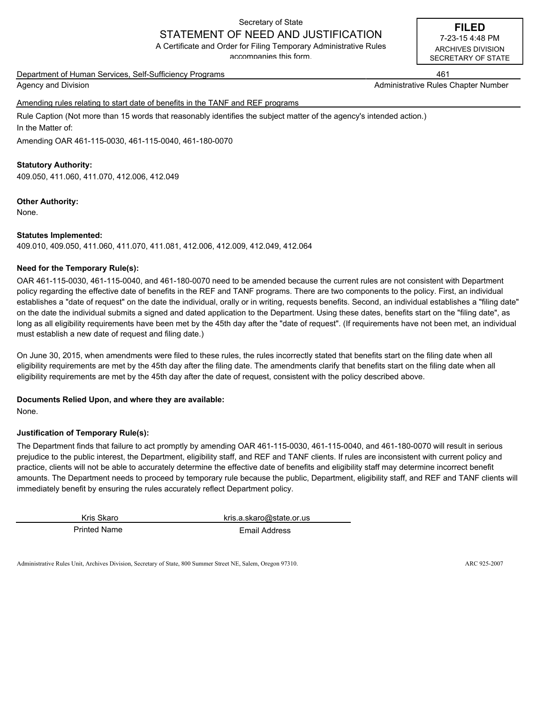# Secretary of State STATEMENT OF NEED AND JUSTIFICATION

A Certificate and Order for Filing Temporary Administrative Rules

accompanies this form.

Department of Human Services, Self-Sufficiency Programs 461

Agency and Division Administrative Rules Chapter Number (Administrative Rules Chapter Number

Amending rules relating to start date of benefits in the TANF and REF programs

Rule Caption (Not more than 15 words that reasonably identifies the subject matter of the agency's intended action.) In the Matter of:

Amending OAR 461-115-0030, 461-115-0040, 461-180-0070

# **Statutory Authority:**

409.050, 411.060, 411.070, 412.006, 412.049

# **Other Authority:**

None.

#### **Statutes Implemented:**

409.010, 409.050, 411.060, 411.070, 411.081, 412.006, 412.009, 412.049, 412.064

# **Need for the Temporary Rule(s):**

OAR 461-115-0030, 461-115-0040, and 461-180-0070 need to be amended because the current rules are not consistent with Department policy regarding the effective date of benefits in the REF and TANF programs. There are two components to the policy. First, an individual establishes a "date of request" on the date the individual, orally or in writing, requests benefits. Second, an individual establishes a "filing date" on the date the individual submits a signed and dated application to the Department. Using these dates, benefits start on the "filing date", as long as all eligibility requirements have been met by the 45th day after the "date of request". (If requirements have not been met, an individual must establish a new date of request and filing date.)

On June 30, 2015, when amendments were filed to these rules, the rules incorrectly stated that benefits start on the filing date when all eligibility requirements are met by the 45th day after the filing date. The amendments clarify that benefits start on the filing date when all eligibility requirements are met by the 45th day after the date of request, consistent with the policy described above.

# **Documents Relied Upon, and where they are available:**

None.

# **Justification of Temporary Rule(s):**

The Department finds that failure to act promptly by amending OAR 461-115-0030, 461-115-0040, and 461-180-0070 will result in serious prejudice to the public interest, the Department, eligibility staff, and REF and TANF clients. If rules are inconsistent with current policy and practice, clients will not be able to accurately determine the effective date of benefits and eligibility staff may determine incorrect benefit amounts. The Department needs to proceed by temporary rule because the public, Department, eligibility staff, and REF and TANF clients will immediately benefit by ensuring the rules accurately reflect Department policy.

Printed Name **Email Address** 

Kris Skaro kris.a.skaro@state.or.us

Administrative Rules Unit, Archives Division, Secretary of State, 800 Summer Street NE, Salem, Oregon 97310. ARC 925-2007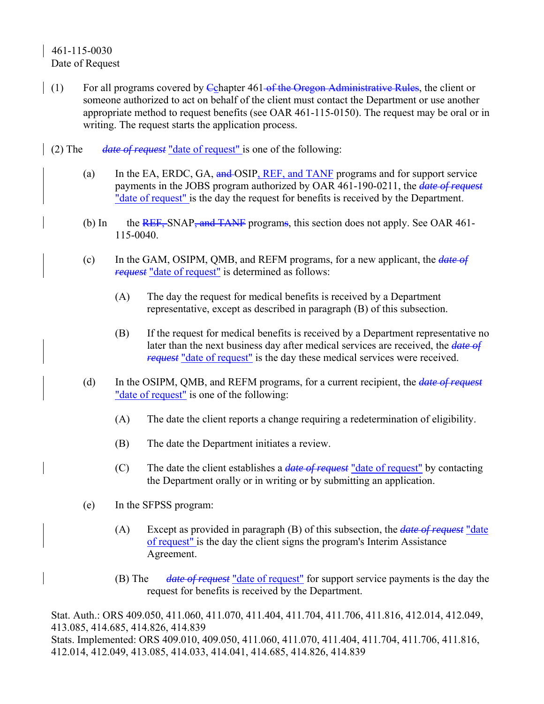# 461-115-0030 Date of Request

- (1) For all programs covered by Cchapter  $461$  of the Oregon Administrative Rules, the client or someone authorized to act on behalf of the client must contact the Department or use another appropriate method to request benefits (see OAR 461-115-0150). The request may be oral or in writing. The request starts the application process.
- (2) The *date of request* "date of request" is one of the following:
	- (a) In the EA, ERDC, GA,  $\frac{and}{and}$  OSIP, REF, and TANF programs and for support service payments in the JOBS program authorized by OAR 461-190-0211, the *date of request* "date of request" is the day the request for benefits is received by the Department.
	- (b) In the REF, SNAP, and TANF programs, this section does not apply. See OAR 461-115-0040.
	- (c) In the GAM, OSIPM, QMB, and REFM programs, for a new applicant, the *date of request* "date of request" is determined as follows:
		- (A) The day the request for medical benefits is received by a Department representative, except as described in paragraph (B) of this subsection.
		- (B) If the request for medical benefits is received by a Department representative no later than the next business day after medical services are received, the *date of request* "date of request" is the day these medical services were received.
	- (d) In the OSIPM, QMB, and REFM programs, for a current recipient, the *date of request* "date of request" is one of the following:
		- (A) The date the client reports a change requiring a redetermination of eligibility.
		- (B) The date the Department initiates a review.
		- (C) The date the client establishes a *date of request* "date of request" by contacting the Department orally or in writing or by submitting an application.
	- (e) In the SFPSS program:
		- (A) Except as provided in paragraph (B) of this subsection, the *date of request* "date of request" is the day the client signs the program's Interim Assistance Agreement.
		- (B) The *date of request* "date of request" for support service payments is the day the request for benefits is received by the Department.

Stat. Auth.: ORS 409.050, 411.060, 411.070, 411.404, 411.704, 411.706, 411.816, 412.014, 412.049, 413.085, 414.685, 414.826, 414.839 Stats. Implemented: ORS 409.010, 409.050, 411.060, 411.070, 411.404, 411.704, 411.706, 411.816, 412.014, 412.049, 413.085, 414.033, 414.041, 414.685, 414.826, 414.839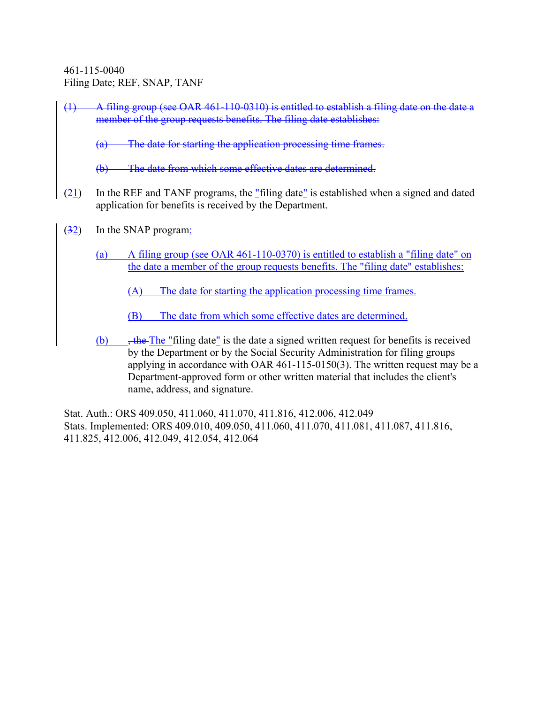461-115-0040 Filing Date; REF, SNAP, TANF

(1) A filing group (see OAR 461-110-0310) is entitled to establish a filing date on the date a member of the group requests benefits. The filing date establishes:

(a) The date for starting the application processing time frames.

The date from which some effective dates are determined.

- $(21)$  In the REF and TANF programs, the "filing date" is established when a signed and dated application for benefits is received by the Department.
- (32) In the SNAP program:
	- (a) A filing group (see OAR 461-110-0370) is entitled to establish a "filing date" on the date a member of the group requests benefits. The "filing date" establishes:
		- (A) The date for starting the application processing time frames.
		- (B) The date from which some effective dates are determined.
	- (b)  $\frac{1}{2}$ , the The "filing date" is the date a signed written request for benefits is received by the Department or by the Social Security Administration for filing groups applying in accordance with OAR 461-115-0150(3). The written request may be a Department-approved form or other written material that includes the client's name, address, and signature.

Stat. Auth.: ORS 409.050, 411.060, 411.070, 411.816, 412.006, 412.049 Stats. Implemented: ORS 409.010, 409.050, 411.060, 411.070, 411.081, 411.087, 411.816, 411.825, 412.006, 412.049, 412.054, 412.064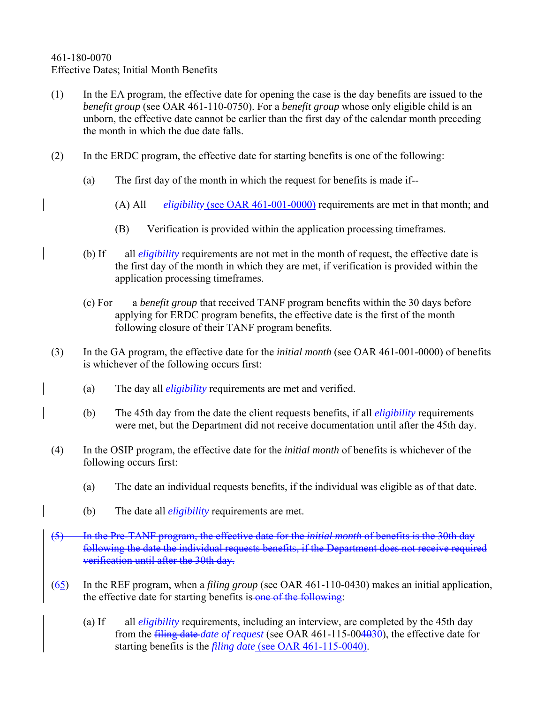# 461-180-0070 Effective Dates; Initial Month Benefits

- (1) In the EA program, the effective date for opening the case is the day benefits are issued to the *benefit group* (see OAR 461-110-0750). For a *benefit group* whose only eligible child is an unborn, the effective date cannot be earlier than the first day of the calendar month preceding the month in which the due date falls.
- (2) In the ERDC program, the effective date for starting benefits is one of the following:
	- (a) The first day of the month in which the request for benefits is made if--
		- (A) All *eligibility* (see OAR 461-001-0000) requirements are met in that month; and
		- (B) Verification is provided within the application processing timeframes.
	- (b) If all *eligibility* requirements are not met in the month of request, the effective date is the first day of the month in which they are met, if verification is provided within the application processing timeframes.
	- (c) For a *benefit group* that received TANF program benefits within the 30 days before applying for ERDC program benefits, the effective date is the first of the month following closure of their TANF program benefits.
- (3) In the GA program, the effective date for the *initial month* (see OAR 461-001-0000) of benefits is whichever of the following occurs first:
	- (a) The day all *eligibility* requirements are met and verified.
	- (b) The 45th day from the date the client requests benefits, if all *eligibility* requirements were met, but the Department did not receive documentation until after the 45th day.
- (4) In the OSIP program, the effective date for the *initial month* of benefits is whichever of the following occurs first:
	- (a) The date an individual requests benefits, if the individual was eligible as of that date.
	- (b) The date all *eligibility* requirements are met.
- (5) In the Pre-TANF program, the effective date for the *initial month* of benefits is the 30th day following the date the individual requests benefits, if the Department does not receive required verification until after the 30th day.
- (65) In the REF program, when a *filing group* (see OAR 461-110-0430) makes an initial application, the effective date for starting benefits is one of the following:
	- (a) If all *eligibility* requirements, including an interview, are completed by the 45th day from the filing date *date of request* (see OAR 461-115-004030), the effective date for starting benefits is the *filing date* (see OAR 461-115-0040).